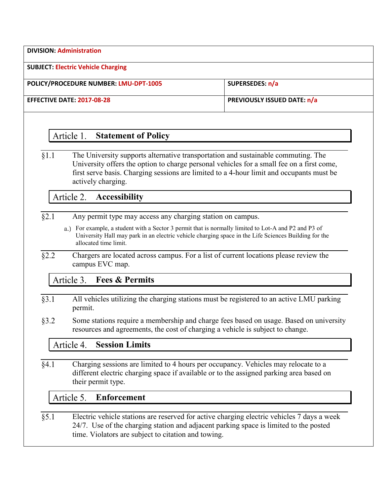**DIVISION: Administration**

**SUBJECT: Electric Vehicle Charging**

**POLICY/PROCEDURE NUMBER: LMU-DPT-1005 SUPERSEDES: n/a**

**EFFECTIVE DATE: 2017-08-28 PREVIOUSLY ISSUED DATE: n/a**

## Article 1. **Statement of Policy**

 $§1.1$ The University supports alternative transportation and sustainable commuting. The University offers the option to charge personal vehicles for a small fee on a first come, first serve basis. Charging sessions are limited to a 4-hour limit and occupants must be actively charging.

Article 2. **Accessibility**

- $§2.1$ Any permit type may access any charging station on campus.
	- For example, a student with a Sector 3 permit that is normally limited to Lot-A and P2 and P3 of University Hall may park in an electric vehicle charging space in the Life Sciences Building for the allocated time limit.
- $§2.2$ Chargers are located across campus. For a list of current locations please review the campus EVC map.

## Article 3. **Fees & Permits**

- All vehicles utilizing the charging stations must be registered to an active LMU parking  $83.1$ permit.
- $§3.2$ Some stations require a membership and charge fees based on usage. Based on university resources and agreements, the cost of charging a vehicle is subject to change.

## **Session Limits** Article 4.

 $§4.1$ Charging sessions are limited to 4 hours per occupancy. Vehicles may relocate to a different electric charging space if available or to the assigned parking area based on their permit type.

## Article 5. **Enforcement**

Electric vehicle stations are reserved for active charging electric vehicles 7 days a week  $§ 5.1$ 24/7. Use of the charging station and adjacent parking space is limited to the posted time. Violators are subject to citation and towing.